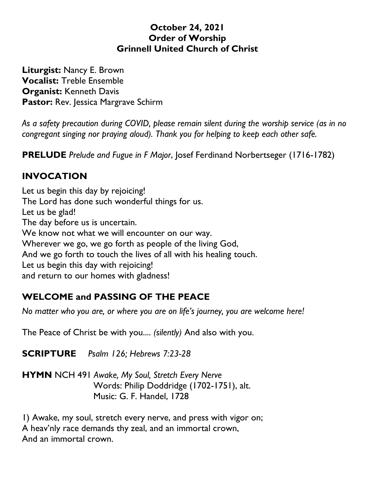#### **October 24, 2021 Order of Worship Grinnell United Church of Christ**

**Liturgist:** Nancy E. Brown **Vocalist:** Treble Ensemble **Organist:** Kenneth Davis **Pastor:** Rev. Jessica Margrave Schirm

*As a safety precaution during COVID, please remain silent during the worship service (as in no congregant singing nor praying aloud). Thank you for helping to keep each other safe.*

**PRELUDE** *Prelude and Fugue in F Major*, Josef Ferdinand Norbertseger (1716-1782)

## **INVOCATION**

Let us begin this day by rejoicing! The Lord has done such wonderful things for us. Let us be glad! The day before us is uncertain. We know not what we will encounter on our way. Wherever we go, we go forth as people of the living God, And we go forth to touch the lives of all with his healing touch. Let us begin this day with rejoicing! and return to our homes with gladness!

# **WELCOME and PASSING OF THE PEACE**

*No matter who you are, or where you are on life's journey, you are welcome here!*

The Peace of Christ be with you.... *(silently)* And also with you.

**SCRIPTURE** *Psalm 126; Hebrews 7:23-28*

**HYMN** NCH 491 *Awake, My Soul, Stretch Every Nerve* Words: Philip Doddridge (1702-1751), alt. Music: G. F. Handel, 1728

1) Awake, my soul, stretch every nerve, and press with vigor on; A heav'nly race demands thy zeal, and an immortal crown, And an immortal crown.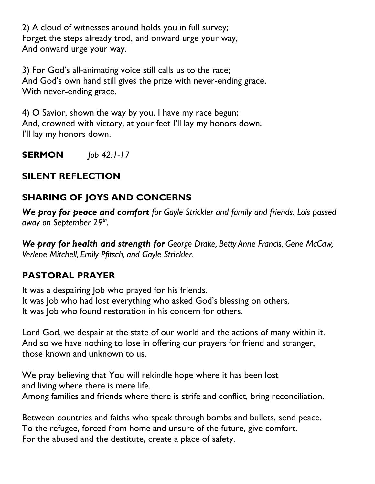2) A cloud of witnesses around holds you in full survey; Forget the steps already trod, and onward urge your way, And onward urge your way.

3) For God's all-animating voice still calls us to the race; And God's own hand still gives the prize with never-ending grace, With never-ending grace.

4) O Savior, shown the way by you, I have my race begun; And, crowned with victory, at your feet I'll lay my honors down, I'll lay my honors down.

**SERMON** *Job 42:1-17*

# **SILENT REFLECTION**

# **SHARING OF JOYS AND CONCERNS**

*We pray for peace and comfort for Gayle Strickler and family and friends. Lois passed away on September 29th .*

*We pray for health and strength for George Drake, Betty Anne Francis, Gene McCaw, Verlene Mitchell, Emily Pfitsch, and Gayle Strickler.*

# **PASTORAL PRAYER**

It was a despairing Job who prayed for his friends. It was Job who had lost everything who asked God's blessing on others. It was Job who found restoration in his concern for others.

Lord God, we despair at the state of our world and the actions of many within it. And so we have nothing to lose in offering our prayers for friend and stranger, those known and unknown to us.

We pray believing that You will rekindle hope where it has been lost and living where there is mere life.

Among families and friends where there is strife and conflict, bring reconciliation.

Between countries and faiths who speak through bombs and bullets, send peace. To the refugee, forced from home and unsure of the future, give comfort. For the abused and the destitute, create a place of safety.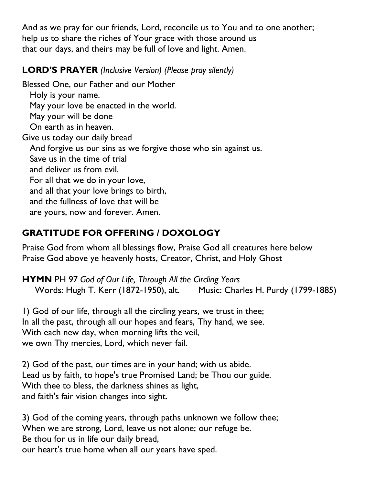And as we pray for our friends, Lord, reconcile us to You and to one another; help us to share the riches of Your grace with those around us that our days, and theirs may be full of love and light. Amen.

### **LORD'S PRAYER** *(Inclusive Version) (Please pray silently)*

Blessed One, our Father and our Mother Holy is your name. May your love be enacted in the world. May your will be done On earth as in heaven. Give us today our daily bread And forgive us our sins as we forgive those who sin against us. Save us in the time of trial and deliver us from evil. For all that we do in your love, and all that your love brings to birth, and the fullness of love that will be are yours, now and forever. Amen.

## **GRATITUDE FOR OFFERING / DOXOLOGY**

Praise God from whom all blessings flow, Praise God all creatures here below Praise God above ye heavenly hosts, Creator, Christ, and Holy Ghost

**HYMN** PH 97 *God of Our Life, Through All the Circling Years* Words: Hugh T. Kerr (1872-1950), alt. Music: Charles H. Purdy (1799-1885)

1) God of our life, through all the circling years, we trust in thee; In all the past, through all our hopes and fears, Thy hand, we see. With each new day, when morning lifts the veil, we own Thy mercies, Lord, which never fail.

2) God of the past, our times are in your hand; with us abide. Lead us by faith, to hope's true Promised Land; be Thou our guide. With thee to bless, the darkness shines as light, and faith's fair vision changes into sight.

3) God of the coming years, through paths unknown we follow thee; When we are strong, Lord, leave us not alone; our refuge be. Be thou for us in life our daily bread, our heart's true home when all our years have sped.